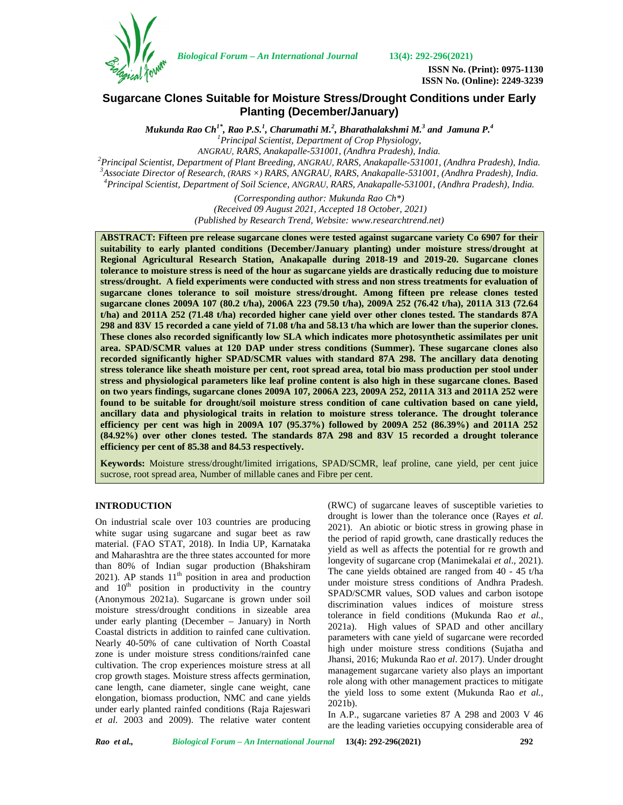*Biological Forum – An International Journal* **13(4): 292-296(2021)**



**ISSN No. (Print): 0975-1130 ISSN No. (Online): 2249-3239**

# **Sugarcane Clones Suitable for Moisture Stress/Drought Conditions under Early Planting (December/January)**

*Mukunda Rao Ch1\* , Rao P.S.<sup>1</sup> , Charumathi M.<sup>2</sup> , Bharathalakshmi M.<sup>3</sup> and Jamuna P.<sup>4</sup> <sup>1</sup>Principal Scientist, Department of Crop Physiology,* ANGRAU, RARS, Anakapalle-531001, (Andhra Pradesh), India.<br><sup>2</sup> Principal Scientist, Department of Plant Breeding, ANGRAU, RARS, Anakapalle-531001, (Andhra Pradesh), India.<br><sup>3</sup> Associate Director of Research, (RARS ×) RARS,

> *(Corresponding author: Mukunda Rao Ch\*) (Received 09 August 2021, Accepted 18 October, 2021) (Published by Research Trend, Website: <www.researchtrend.net>)*

**ABSTRACT: Fifteen pre release sugarcane clones were tested against sugarcane variety Co 6907 for their suitability to early planted conditions (December/January planting) under moisture stress/drought at Regional Agricultural Research Station, Anakapalle during 2018-19 and 2019-20. Sugarcane clones tolerance to moisture stress is need of the hour as sugarcane yields are drastically reducing due to moisture stress/drought. A field experiments were conducted with stress and non stress treatments for evaluation of sugarcane clones tolerance to soil moisture stress/drought. Among fifteen pre release clones tested sugarcane clones 2009A 107 (80.2 t/ha), 2006A 223 (79.50 t/ha), 2009A 252 (76.42 t/ha), 2011A 313 (72.64 t/ha) and 2011A 252 (71.48 t/ha) recorded higher cane yield over other clones tested. The standards 87A 298 and 83V 15 recorded a cane yield of 71.08 t/ha and 58.13 t/ha which are lower than the superior clones. These clones also recorded significantly low SLA which indicates more photosynthetic assimilates per unit area. SPAD/SCMR values at 120 DAP under stress conditions (Summer). These sugarcane clones also recorded significantly higher SPAD/SCMR values with standard 87A 298. The ancillary data denoting stress tolerance like sheath moisture per cent, root spread area, total bio mass production per stool under stress and physiological parameters like leaf proline content is also high in these sugarcane clones. Based on two years findings, sugarcane clones 2009A 107, 2006A 223, 2009A 252, 2011A 313 and 2011A 252 were found to be suitable for drought/soil moisture stress condition of cane cultivation based on cane yield, ancillary data and physiological traits in relation to moisture stress tolerance. The drought tolerance efficiency per cent was high in 2009A 107 (95.37%) followed by 2009A 252 (86.39%) and 2011A 252 (84.92%) over other clones tested. The standards 87A 298 and 83V 15 recorded a drought tolerance efficiency per cent of 85.38 and 84.53 respectively.**

**Keywords:** Moisture stress/drought/limited irrigations, SPAD/SCMR, leaf proline, cane yield, per cent juice sucrose, root spread area, Number of millable canes and Fibre per cent.

## **INTRODUCTION**

On industrial scale over 103 countries are producing white sugar using sugarcane and sugar beet as raw material. (FAO STAT, 2018). In India UP, Karnataka and Maharashtra are the three states accounted for more than 80% of Indian sugar production (Bhakshiram 2021). AP stands  $11<sup>th</sup>$  position in area and production and  $10<sup>th</sup>$  position in productivity in the country (Anonymous 2021a). Sugarcane is grown under soil moisture stress/drought conditions in sizeable area under early planting (December – January) in North Coastal districts in addition to rainfed cane cultivation. Nearly 40-50% of cane cultivation of North Coastal zone is under moisture stress conditions/rainfed cane cultivation. The crop experiences moisture stress at all crop growth stages. Moisture stress affects germination, cane length, cane diameter, single cane weight, cane elongation, biomass production, NMC and cane yields under early planted rainfed conditions (Raja Rajeswari *et al*. 2003 and 2009). The relative water content (RWC) of sugarcane leaves of susceptible varieties to drought is lower than the tolerance once (Rayes *et al*. 2021). An abiotic or biotic stress in growing phase in the period of rapid growth, cane drastically reduces the yield as well as affects the potential for re growth and longevity of sugarcane crop (Manimekalai *et al*., 2021). The cane yields obtained are ranged from 40 - 45 t/ha under moisture stress conditions of Andhra Pradesh. SPAD/SCMR values, SOD values and carbon isotope discrimination values indices of moisture stress tolerance in field conditions (Mukunda Rao *et al.,* 2021a). High values of SPAD and other ancillary parameters with cane yield of sugarcane were recorded high under moisture stress conditions (Sujatha and Jhansi, 2016; Mukunda Rao *et al*. 2017). Under drought management sugarcane variety also plays an important role along with other management practices to mitigate the yield loss to some extent (Mukunda Rao *et al.,* 2021b).

In A.P., sugarcane varieties 87 A 298 and 2003 V 46 are the leading varieties occupying considerable area of

*Rao et al., Biological Forum – An International Journal* **13(4): 292-296(2021) 292**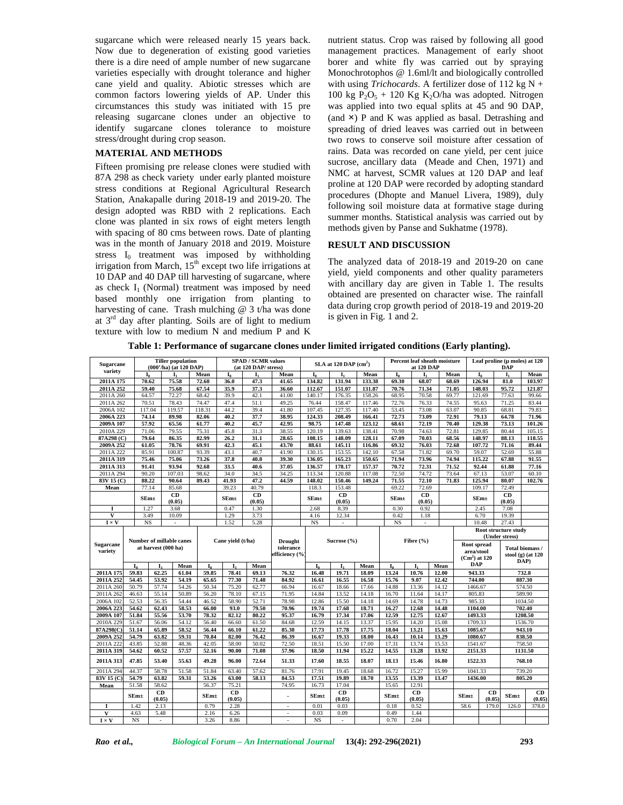sugarcane which were released nearly 15 years back. Now due to degeneration of existing good varieties there is a dire need of ample number of new sugarcane varieties especially with drought tolerance and higher cane yield and quality. Abiotic stresses which are common factors lowering yields of AP. Under this circumstances this study was initiated with 15 pre releasing sugarcane clones under an objective to identify sugarcane clones tolerance to moisture stress/drought during crop season.

### **MATERIAL AND METHODS**

Fifteen promising pre release clones were studied with 87A 298 as check variety under early planted moisture stress conditions at Regional Agricultural Research Station, Anakapalle during 2018-19 and 2019-20. The design adopted was RBD with 2 replications. Each clone was planted in six rows of eight meters length with spacing of 80 cms between rows. Date of planting was in the month of January 2018 and 2019. Moisture stress  $I_0$  treatment was imposed by withholding irrigation from March,  $15<sup>th</sup>$  except two life irrigations at 10 DAP and 40 DAP till harvesting of sugarcane, where as check  $I_1$  (Normal) treatment was imposed by need based monthly one irrigation from planting to harvesting of cane. Trash mulching @ 3 t/ha was done at  $3<sup>rd</sup>$  day after planting. Soils are of light to medium texture with low to medium N and medium P and K

nutrient status. Crop was raised by following all good management practices. Management of early shoot borer and white fly was carried out by spraying Monochrotophos @ 1.6ml/lt and biologically controlled with using *Trichocards*. A fertilizer dose of 112 kg N + 100 kg  $P_2O_5 + 120$  Kg K<sub>2</sub>O/ha was adopted. Nitrogen was applied into two equal splits at 45 and 90 DAP, (and  $\times$ ) P and K was applied as basal. Detrashing and spreading of dried leaves was carried out in between two rows to conserve soil moisture after cessation of rains. Data was recorded on cane yield, per cent juice sucrose, ancillary data (Meade and Chen, 1971) and NMC at harvest, SCMR values at 120 DAP and leaf proline at 120 DAP were recorded by adopting standard procedures (Dhopte and Manuel Livera, 1989), duly following soil moisture data at formative stage during summer months. Statistical analysis was carried out by methods given by Panse and Sukhatme (1978).

# **RESULT AND DISCUSSION**

The analyzed data of 2018-19 and 2019-20 on cane yield, yield components and other quality parameters with ancillary day are given in Table 1. The results obtained are presented on character wise. The rainfall data during crop growth period of 2018-19 and 2019-20 is given in Fig. 1 and 2.

**Table 1: Performance of sugarcane clones under limited irrigated conditions (Early planting).**

| variety<br>Mean<br>I <sub>0</sub><br>Mean<br>I <sub>0</sub><br><b>I</b><br>Mean<br>I <sub>0</sub><br><b>L</b><br>Mean<br>Iı<br>I <sub>0</sub><br>L.<br>2011A 175<br>70.62<br>75.58<br>72.60<br>36.0<br>47.3<br>41.65<br>134.82<br>131.94<br>133.38<br>69.30<br>68.07<br>68.69<br>67.54<br>35.9<br>37.3<br>2011A 252<br>59.40<br>75.68<br>36.60<br>112.67<br>151.07<br>131.87<br>70.76<br>71.34<br>71.05 | Percent leaf sheath moisture                | Leaf proline ( $\mu$ moles) at 120<br><b>DAP</b>                 |  |
|---------------------------------------------------------------------------------------------------------------------------------------------------------------------------------------------------------------------------------------------------------------------------------------------------------------------------------------------------------------------------------------------------------|---------------------------------------------|------------------------------------------------------------------|--|
|                                                                                                                                                                                                                                                                                                                                                                                                         | $I_0$                                       | I <sub>1</sub><br>Mean                                           |  |
|                                                                                                                                                                                                                                                                                                                                                                                                         | 126.94                                      | 81.0<br>103.97                                                   |  |
|                                                                                                                                                                                                                                                                                                                                                                                                         | 148.03                                      | 95.72<br>121.87                                                  |  |
| 72.27<br>68.42<br>39.9<br>42.1<br>41.00<br>158.26<br>68.95<br>70.58<br>69.77<br>2011A 260<br>64.57<br>140.17<br>176.35                                                                                                                                                                                                                                                                                  | 121.69                                      | 77.63<br>99.66                                                   |  |
| 70.51<br>78.43<br>74.47<br>47.4<br>51.1<br>49.25<br>76.44<br>158.47<br>117.46<br>72.76<br>76.33<br>74.55<br>2011A 262                                                                                                                                                                                                                                                                                   | 95.63                                       | 71.25<br>83.44                                                   |  |
| 119.57<br>118.31<br>44.2<br>39.4<br>41.80<br>107.45<br>127.35<br>117.40<br>53.45<br>73.08<br>63.07<br>2006A 102<br>117.04                                                                                                                                                                                                                                                                               | 90.85                                       | 68.81<br>79.83                                                   |  |
| 89.98<br>38.95<br>72.73<br>2006A 223<br>74.14<br>82.06<br>40.2<br>37.7<br>124.33<br>208.49<br>166.41<br>73.09<br>72.91                                                                                                                                                                                                                                                                                  | 79.13                                       | 64.78<br>71.96                                                   |  |
| 57.92<br>65.56<br>61.77<br>40.2<br>45.7<br>42.95<br>98.75<br>147.48<br>123.12<br>68.61<br>72.19<br>70.40<br>2009A 107                                                                                                                                                                                                                                                                                   | 129.38                                      | 73.13<br>101.26                                                  |  |
| 79.55<br>75.31<br>31.3<br>38.55<br>120.19<br>70.98<br>74.63<br>72.81<br>2010A 229<br>71.06<br>45.8<br>139.63<br>138.41                                                                                                                                                                                                                                                                                  | 129.85                                      | 80.44<br>105.15                                                  |  |
| 87A298 (C)<br>79.64<br>86.35<br>82.99<br>26.2<br>31.1<br>28.65<br>108.15<br>148.09<br>128.11<br>67.09<br>70.03<br>68.56                                                                                                                                                                                                                                                                                 | 148.97                                      | 88.13<br>118.55                                                  |  |
| 78.76<br>45.1<br>76.03<br>2009A 252<br>61.05<br>69.91<br>42.3<br>43.70<br>88.61<br>145.11<br>116.86<br>69.32<br>72.68                                                                                                                                                                                                                                                                                   | 107.72                                      | 71.16<br>89.44                                                   |  |
| 93.39<br>41.90<br>130.15<br>142.10<br>71.82<br>2011A 222<br>85.91<br>100.87<br>43.1<br>40.7<br>153.55<br>67.58<br>69.70                                                                                                                                                                                                                                                                                 | 59.07                                       | 52.69<br>55.88                                                   |  |
| 73.26<br>39.30<br>73.96<br>74.94<br>2011A 319<br>75.46<br>75.06<br>37.8<br>40.8<br>136.05<br>165.23<br>150.65<br>71.94                                                                                                                                                                                                                                                                                  | 115.22                                      | 67.88<br>91.55                                                   |  |
| 37.05<br>91.41<br>93.94<br>92.68<br>33.5<br>40.6<br>178.17<br>157.37<br>70.72<br>72.31<br>71.52<br>2011A 313<br>136.57                                                                                                                                                                                                                                                                                  | 92.44                                       | 77.16<br>61.88                                                   |  |
| 2011A 294<br>90.20<br>107.03<br>98.62<br>34.0<br>34.5<br>34.25<br>113.34<br>120.88<br>117.08<br>72.50<br>74.72<br>73.64                                                                                                                                                                                                                                                                                 | 67.13                                       | 53.07<br>60.10                                                   |  |
| 83V 15 (C)<br>88.22<br>90.64<br>89.43<br>41.93<br>47.2<br>44.59<br>148.02<br>150.46<br>149.24<br>71.55<br>72.10<br>71.83                                                                                                                                                                                                                                                                                | 125.94                                      | 80.07<br>102.76                                                  |  |
| Mean<br>77.14<br>85.68<br>39.23<br>40.79<br>118.3<br>153.48<br>69.22<br>72.69                                                                                                                                                                                                                                                                                                                           | 109.17                                      | 72.49                                                            |  |
| CD<br>CD<br>CD<br>CD<br>$SEm+$<br>$SEm+$<br>SEm <sub>±</sub><br>$SEm+$<br>(0.05)<br>(0.05)<br>(0.05)<br>(0.05)                                                                                                                                                                                                                                                                                          | $SEm+$                                      | CD<br>(0.05)                                                     |  |
| 0.47<br>0.92<br>1.27<br>3.68<br>1.30<br>2.68<br>8.39<br>0.30<br>$\bf{I}$                                                                                                                                                                                                                                                                                                                                | 2.45                                        | 7.08                                                             |  |
| $\mathbf{V}$<br>3.49<br>10.09<br>3.73<br>12.34<br>1.29<br>4.16<br>0.42<br>1.18                                                                                                                                                                                                                                                                                                                          | 6.70                                        | 19.39                                                            |  |
| <b>NS</b><br>1.52<br>5.28<br><b>NS</b><br>$I \times V$<br><b>NS</b><br>$\bar{\phantom{a}}$<br>$\sim$<br>$\overline{\phantom{a}}$                                                                                                                                                                                                                                                                        | 10.48                                       | 27.43                                                            |  |
| Number of millable canes<br>Cane vield (t/ha)<br><b>Drought</b><br>Sucrose (%)<br>Fibre $(\% )$<br><b>Sugarcane</b><br>at harvest (000 ha)<br>tolerance<br>variety<br>efficiency (%                                                                                                                                                                                                                     | Root spread<br>area/stool<br>$(Cm2)$ at 120 | (Under stress)<br>Total biomass /<br>stool $(g)$ (at 120<br>DAP) |  |
| $I_0$<br>$\mathbf{I}_1$<br>Mean<br>$I_0$<br>$\mathbf{I}_1$<br>I.<br>Mean<br>I <sub>0</sub><br>$I_1$<br>Mean<br>Mean<br>L <sub>0</sub>                                                                                                                                                                                                                                                                   | <b>DAP</b>                                  |                                                                  |  |
| 59.83<br>62.25<br>61.04<br>59.85<br>78.41<br>69.13<br>76.32<br>16.48<br>19.71<br>18.09<br>13.24<br>10.76<br>12.00<br>2011A 175                                                                                                                                                                                                                                                                          | 943.33                                      | 732.8                                                            |  |
| 84.92<br>9.07<br>2011A 252<br>54.45<br>53.92<br>54.19<br>65.65<br>77.30<br>71.48<br>16.61<br>16.55<br>16.58<br>15.76<br>12.42                                                                                                                                                                                                                                                                           | 744.00                                      | 887.30                                                           |  |
| 50.79<br>57.74<br>54.26<br>50.34<br>75.20<br>62.77<br>66.94<br>17.66<br>14.88<br>13.36<br>14.12<br>2011A 260<br>16.67<br>18.66                                                                                                                                                                                                                                                                          | 1466.67                                     | 574.50                                                           |  |
| 50.89<br>78.10<br>14.18<br>16.70<br>2011A 262<br>46.63<br>55.14<br>56.20<br>67.15<br>71.95<br>14.84<br>13.52<br>11.64<br>14.17                                                                                                                                                                                                                                                                          | 805.83                                      | 589.90                                                           |  |
| 2006A 102<br>52.53<br>56.35<br>54.44<br>46.52<br>58.90<br>52.71<br>78.98<br>12.86<br>15.50<br>14.18<br>14.69<br>14.78<br>14.73                                                                                                                                                                                                                                                                          | 985.33                                      | 1034.50                                                          |  |
| 2006A 223<br>54.62<br>62.43<br>58.53<br>66.00<br>93.0<br>79.50<br>70.96<br>19.74<br>17.68<br>18.71<br>16.27<br>12.68<br>14.48                                                                                                                                                                                                                                                                           | 1104.00                                     | 702.40                                                           |  |
| 80.22<br>12.59<br>12.75<br>2009A 107<br>51.84<br>55.56<br>53.70<br>78.32<br>82.12<br>95.37<br>16.79<br>17.34<br>17.06<br>12.67                                                                                                                                                                                                                                                                          | 1493.33                                     | 1208.50                                                          |  |
| 2010A 229<br>51.67<br>56.06<br>54.12<br>56.40<br>66.60<br>61.50<br>84.68<br>12.59<br>14.15<br>13.37<br>15.95<br>14.20<br>15.08                                                                                                                                                                                                                                                                          | 1709.33                                     | 1536.70                                                          |  |
| 51.14<br>65.89<br>58.52<br>56.44<br>61.22<br>85.38<br>17.73<br>17.78<br>17.75<br>18.04<br>13.21<br>15.63<br>87A298(C)<br>66.10                                                                                                                                                                                                                                                                          | 1085.67                                     | 943.10                                                           |  |
| 70.84<br>82.00<br>76.42<br>18.00<br>16.43<br>10.14<br>2009A 252<br>54.79<br>63.82<br>59.31<br>86.39<br>16.67<br>19.33<br>13.29                                                                                                                                                                                                                                                                          | 1080.67                                     | 838.50                                                           |  |
| 42.05<br>50.02<br>2011A 222<br>43.85<br>52.88<br>48.36<br>58.00<br>72.50<br>18.51<br>15.50<br>17.00<br>17.31<br>13.74<br>15.53                                                                                                                                                                                                                                                                          | 1541.67                                     | 758.50                                                           |  |
| 18.50<br>14.55<br>13.28<br>2011A 319<br>54.62<br>60.52<br>57.57<br>52.16<br>90.00<br>71.08<br>57.96<br>11.94<br>15.22<br>13.92                                                                                                                                                                                                                                                                          | 2151.33                                     | 1131.50                                                          |  |
|                                                                                                                                                                                                                                                                                                                                                                                                         | 1522.33                                     | 768.10                                                           |  |
| 18.07<br>2011A 313<br>47.85<br>53.40<br>55.63<br>49.28<br>96.00<br>72.64<br>51.33<br>17.60<br>18.55<br>18.13<br>15.46<br>16.80                                                                                                                                                                                                                                                                          | 1041.33                                     | 739.20                                                           |  |
| 44.37<br>51.84<br>57.62<br>81.76<br>17.91<br>19.45<br>16.72<br>15.27<br>15.99<br>2011A 294<br>58.78<br>51.58<br>63.40<br>18.68                                                                                                                                                                                                                                                                          | 1436.00                                     | 805.20                                                           |  |
| 83V 15 (C<br>54.79<br>59.31<br>53.26<br>84.53<br>17.51<br>13.55<br>13.39<br>63.82<br>63.00<br>58.13<br>19.89<br>18.70<br>13.47                                                                                                                                                                                                                                                                          |                                             |                                                                  |  |
| 51.58<br>56.37<br>74.95<br>17.04<br>15.65<br>12.91<br>58.62<br>75.21<br>16.73<br>Mean                                                                                                                                                                                                                                                                                                                   |                                             |                                                                  |  |
| CD<br>CD<br>CD<br>CD<br>$SEm+$<br>$SEm+$<br>$SEm+$<br>$SEm+$<br>٠<br>(0.05)<br>(0.05)<br>(0.05)<br>(0.05)                                                                                                                                                                                                                                                                                               | CD<br>$SEm+$<br>(0.05)                      | CD<br>$SEm+$                                                     |  |
| 0.79<br>I<br>1.42<br>2.13<br>2.28<br>0.01<br>0.03<br>0.18<br>0.52                                                                                                                                                                                                                                                                                                                                       | 58.6<br>179.0                               | (0.05)<br>126.0<br>378.0                                         |  |
| $\mathbf{V}$<br>5.48<br>2.16<br>0.09<br>0.49<br>1.44<br>4.63<br>6.26<br>0.03<br>ä,                                                                                                                                                                                                                                                                                                                      |                                             |                                                                  |  |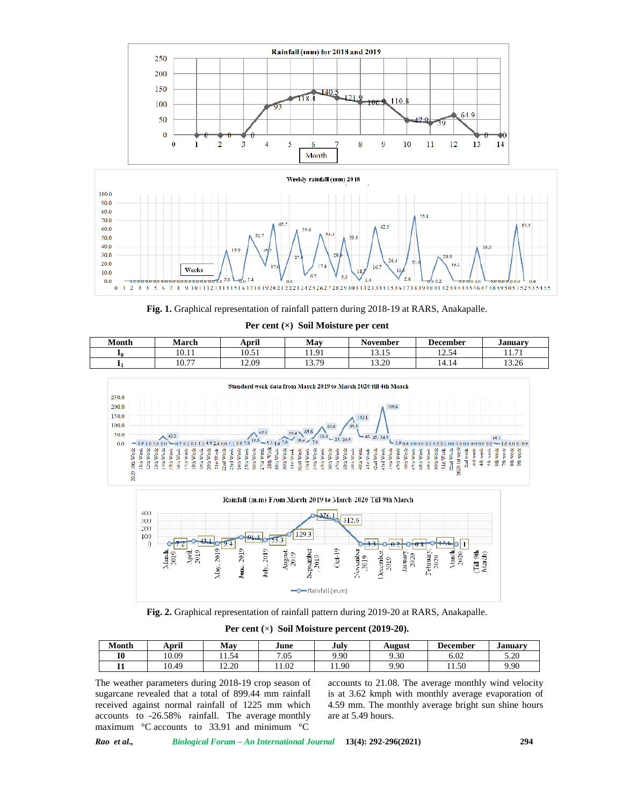



**Fig. 1.** Graphical representation of rainfall pattern during 2018-19 at RARS, Anakapalle. **Per cent (×) Soil Moisture per cent**

| Month | March | . .<br>April | May                     | <b>November</b> | <b>December</b>  | January       |
|-------|-------|--------------|-------------------------|-----------------|------------------|---------------|
| 10    | 10.11 | 10.51        | Q <sub>1</sub><br>11. 1 | 1015<br>19.IJ   | 12.54            | $-1$<br>11.71 |
|       | 10.77 | 12.09        | 370<br>.                | 13.20           | $A - 1$<br>14.14 | 12.2<br>13.26 |







**Fig. 2.** Graphical representation of rainfall pattern during 2019-20 at RARS, Anakapalle.

**Per cent (**×**) Soil Moisture percent (2019-20).**

| Month     | April | May         | June | July  | August | <b>December</b> | January |
|-----------|-------|-------------|------|-------|--------|-----------------|---------|
| <b>I0</b> | 10.09 | - -<br>1.54 | 7.05 | 9.90  | 9.30   | 6.02            | 5.20    |
|           | 10.49 | 12.20       | 1.02 | 11.90 | 9.90   | 11.50           | 9.90    |

The weather parameters during 2018-19 crop season of sugarcane revealed that a total of 899.44 mm rainfall received against normal rainfall of 1225 mm which accounts to -26.58% rainfall. The average monthly maximum °C accounts to 33.91 and minimum °C

accounts to 21.08. The average monthly wind velocity is at 3.62 kmph with monthly average evaporation of 4.59 mm. The monthly average bright sun shine hours are at 5.49 hours.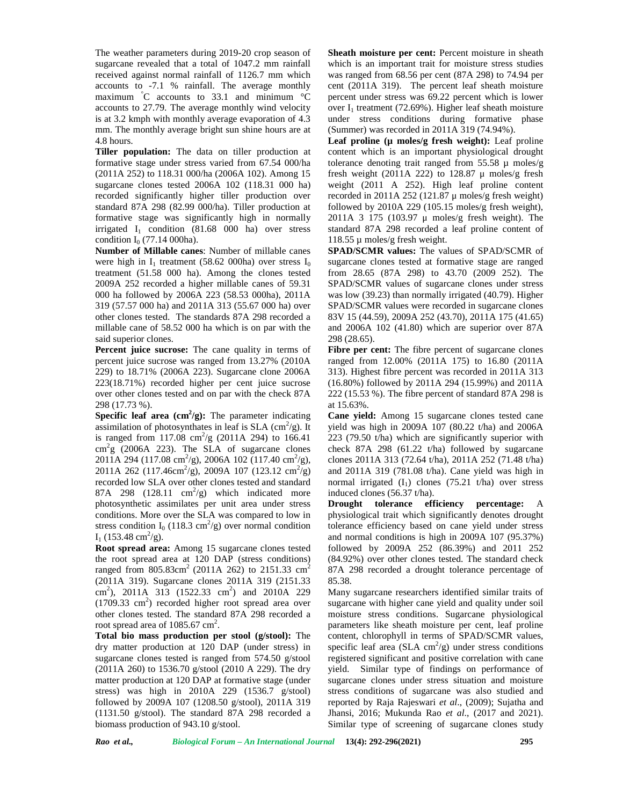The weather parameters during 2019-20 crop season of sugarcane revealed that a total of 1047.2 mm rainfall received against normal rainfall of 1126.7 mm which accounts to -7.1 % rainfall. The average monthly maximum °C accounts to 33.1 and minimum °C accounts to 27.79. The average monthly wind velocity is at 3.2 kmph with monthly average evaporation of 4.3 mm. The monthly average bright sun shine hours are at 4.8 hours.

**Tiller population:** The data on tiller production at formative stage under stress varied from 67.54 000/ha (2011A 252) to 118.31 000/ha (2006A 102). Among 15 sugarcane clones tested 2006A 102 (118.31 000 ha) recorded significantly higher tiller production over standard 87A 298 (82.99 000/ha). Tiller production at formative stage was significantly high in normally irrigated  $I_1$  condition (81.68 000 ha) over stress condition  $I_0$  (77.14 000ha).

**Number of Millable canes**: Number of millable canes were high in  $I_1$  treatment (58.62 000ha) over stress  $I_0$ treatment (51.58 000 ha). Among the clones tested 2009A 252 recorded a higher millable canes of 59.31 000 ha followed by 2006A 223 (58.53 000ha), 2011A 319 (57.57 000 ha) and 2011A 313 (55.67 000 ha) over other clones tested. The standards 87A 298 recorded a millable cane of 58.52 000 ha which is on par with the said superior clones.

**Percent juice sucrose:** The cane quality in terms of percent juice sucrose was ranged from 13.27% (2010A 229) to 18.71% (2006A 223). Sugarcane clone 2006A 223(18.71%) recorded higher per cent juice sucrose over other clones tested and on par with the check 87A 298 (17.73 %).

**Specific leaf area**  $(cm^2/g)$ **: The parameter indicating Cane** assimilation of photosynthates in leaf is SLA  $\text{(cm}^2/\text{g})$ . It y is ranged from 117.08  $\text{cm}^2/\text{g}$  (2011A 294) to 166.41 223 (  $\text{cm}^2$ g (2006A 223). The SLA of sugarcane clones  $2011A 294 (117.08 cm<sup>2</sup>/g), 2006A 102 (117.40 cm<sup>2</sup>/g),$ 2011A 262 (117.46cm<sup>2</sup>/g), 2009A 107 (123.12 cm<sup>2</sup>/g) ar recorded low SLA over other clones tested and standard 87A 298 (128.11  $\text{cm}^2/\text{g}$ ) which indicated more indu photosynthetic assimilates per unit area under stress conditions. More over the SLA was compared to low in stress condition  $I_0$  (118.3 cm<sup>2</sup>/g) over normal condition tolera  $I_1$  (153.48 cm<sup>2</sup>/g).

**Root spread area:** Among 15 sugarcane clones tested the root spread area at 120 DAP (stress conditions) ranged from  $805.83 \text{cm}^2$  (2011A 262) to 2151.33  $\text{cm}^2$ (2011A 319). Sugarcane clones 2011A 319 (2151.33 cm<sup>2</sup>), 2011A 313 (1522.33 cm<sup>2</sup>) and 2010A 229  $(1709.33 \text{ cm}^2)$  recorded higher root spread area over other clones tested. The standard 87A 298 recorded a root spread area of  $1085.67$  cm<sup>2</sup>.

**Total bio mass production per stool (g/stool):** The dry matter production at 120 DAP (under stress) in sugarcane clones tested is ranged from 574.50 g/stool (2011A 260) to 1536.70 g/stool (2010 A 229). The dry matter production at 120 DAP at formative stage (under stress) was high in 2010A 229 (1536.7 g/stool) followed by 2009A 107 (1208.50 g/stool), 2011A 319 (1131.50 g/stool). The standard 87A 298 recorded a biomass production of 943.10 g/stool.

**Sheath moisture per cent:** Percent moisture in sheath which is an important trait for moisture stress studies was ranged from 68.56 per cent (87A 298) to 74.94 per cent (2011A 319). The percent leaf sheath moisture percent under stress was 69.22 percent which is lower over  $I_1$  treatment (72.69%). Higher leaf sheath moisture under stress conditions during formative phase (Summer) was recorded in 2011A 319 (74.94%).

**Leaf proline (µ moles/g fresh weight):** Leaf proline content which is an important physiological drought tolerance denoting trait ranged from  $55.58 \mu$  moles/g fresh weight (2011A 222) to 128.87  $\mu$  moles/g fresh weight (2011 A 252). High leaf proline content recorded in 2011A 252 (121.87  $\mu$  moles/g fresh weight) followed by 2010A 229 (105.15 moles/g fresh weight), 2011A 3 175 (103.97 μ moles/g fresh weight). The standard 87A 298 recorded a leaf proline content of 118.55 µ moles/g fresh weight.

**SPAD/SCMR values:** The values of SPAD/SCMR of sugarcane clones tested at formative stage are ranged from 28.65 (87A 298) to 43.70 (2009 252). The SPAD/SCMR values of sugarcane clones under stress was low (39.23) than normally irrigated (40.79). Higher SPAD/SCMR values were recorded in sugarcane clones 83V 15 (44.59), 2009A 252 (43.70), 2011A 175 (41.65) and 2006A 102 (41.80) which are superior over 87A 298 (28.65).

Fibre per cent: The fibre percent of sugarcane clones ranged from 12.00% (2011A 175) to 16.80 (2011A 313). Highest fibre percent was recorded in 2011A 313 (16.80%) followed by 2011A 294 (15.99%) and 2011A 222 (15.53 %). The fibre percent of standard 87A 298 is at 15.63%.

**Cane yield:** Among 15 sugarcane clones tested cane yield was high in 2009A 107 (80.22 t/ha) and 2006A 223 (79.50 t/ha) which are significantly superior with check 87A 298 (61.22 t/ha) followed by sugarcane clones 2011A 313 (72.64 t/ha), 2011A 252 (71.48 t/ha) and 2011A 319 (781.08 t/ha). Cane yield was high in normal irrigated  $(I_1)$  clones (75.21 t/ha) over stress induced clones (56.37 t/ha).

**Drought tolerance efficiency percentage:** physiological trait which significantly denotes drought tolerance efficiency based on cane yield under stress and normal conditions is high in 2009A 107 (95.37%) followed by 2009A 252 (86.39%) and 2011 252 (84.92%) over other clones tested. The standard check 87A 298 recorded a drought tolerance percentage of 85.38.

Many sugarcane researchers identified similar traits of sugarcane with higher cane yield and quality under soil moisture stress conditions. Sugarcane physiological parameters like sheath moisture per cent, leaf proline content, chlorophyll in terms of SPAD/SCMR values, specific leaf area  $(SLA \text{ cm}^2/\text{g})$  under stress conditions registered significant and positive correlation with cane yield. Similar type of findings on performance of sugarcane clones under stress situation and moisture stress conditions of sugarcane was also studied and reported by Raja Rajeswari *et al*., (2009); Sujatha and Jhansi, 2016; Mukunda Rao *et al*., (2017 and 2021). Similar type of screening of sugarcane clones study